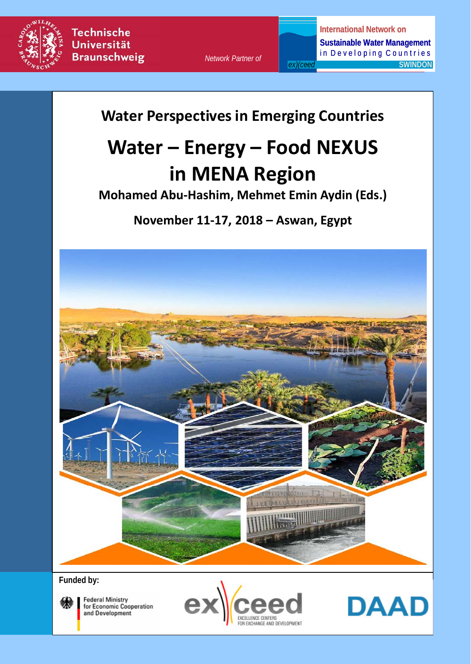

*Network Partner of*

**International Network on Sustainable Water Management**  in Developing Countries *ex)(ceed* **SWINDON** 

**Water Perspectives in Emerging Countries** 

# **Water – Energy – Food NEXUS in MENA Region**

**Mohamed Abu-Hashim, Mehmet Emin Aydin (Eds.)**

**November 11-17, 2018 – Aswan, Egypt**



**Funded by:**



**Federal Ministry** for Economic Cooperation and Development



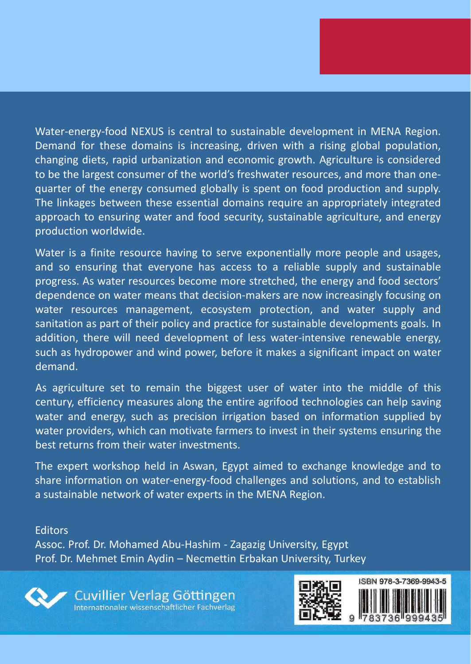Water-energy-food NEXUS is central to sustainable development in MENA Region. Demand for these domains is increasing, driven with a rising global population, changing diets, rapid urbanization and economic growth. Agriculture is considered to be the largest consumer of the world's freshwater resources, and more than onequarter of the energy consumed globally is spent on food production and supply. The linkages between these essential domains require an appropriately integrated approach to ensuring water and food security, sustainable agriculture, and energy production worldwide.

Water is a finite resource having to serve exponentially more people and usages, and so ensuring that everyone has access to a reliable supply and sustainable progress. As water resources become more stretched, the energy and food sectors' dependence on water means that decision-makers are now increasingly focusing on water resources management, ecosystem protection, and water supply and sanitation as part of their policy and practice for sustainable developments goals. In addition, there will need development of less water-intensive renewable energy, such as hydropower and wind power, before it makes a significant impact on water demand.

As agriculture set to remain the biggest user of water into the middle of this century, efficiency measures along the entire agrifood technologies can help saving water and energy, such as precision irrigation based on information supplied by water providers, which can motivate farmers to invest in their systems ensuring the best returns from their water investments.

The expert workshop held in Aswan, Egypt aimed to exchange knowledge and to share information on water-energy-food challenges and solutions, and to establish a sustainable network of water experts in the MENA Region.

**Editors** 

Assoc. Prof. Dr. Mohamed Abu-Hashim - Zagazig University, Egypt Prof. Dr. Mehmet Emin Aydin – Necmettin Erbakan University, Turkey

Cuvillier Verlag Göttingen Internationaler wissenschaftlicher Fachverlag

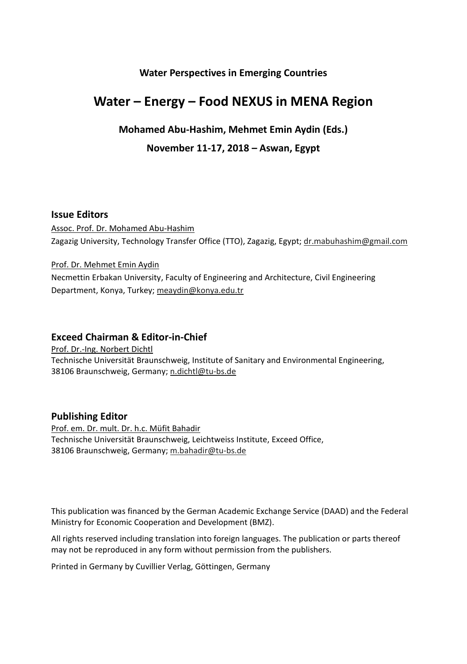#### **Water Perspectives in Emerging Countries**

# **Water – Energy – Food NEXUS in MENA Region**

#### **Mohamed Abu-Hashim, Mehmet Emin Aydin (Eds.)**

#### **November 11-17, 2018 – Aswan, Egypt**

#### **Issue Editors**

Assoc. Prof. Dr. Mohamed Abu-Hashim Zagazig University, Technology Transfer Office (TTO), Zagazig, Egypt; dr.mabuhashim@gmail.com

Prof. Dr. Mehmet Emin Aydin Necmettin Erbakan University, Faculty of Engineering and Architecture, Civil Engineering Department, Konya, Turkey; meaydin@konya.edu.tr

#### **Exceed Chairman & Editor-in-Chief**

Prof. Dr.-Ing. Norbert Dichtl Technische Universität Braunschweig, Institute of Sanitary and Environmental Engineering, 38106 Braunschweig, Germany; n.dichtl@tu-bs.de

#### **Publishing Editor**

Prof. em. Dr. mult. Dr. h.c. Müfit Bahadir Technische Universität Braunschweig, Leichtweiss Institute, Exceed Office, 38106 Braunschweig, Germany; m.bahadir@tu-bs.de

This publication was financed by the German Academic Exchange Service (DAAD) and the Federal Ministry for Economic Cooperation and Development (BMZ).

All rights reserved including translation into foreign languages. The publication or parts thereof may not be reproduced in any form without permission from the publishers.

Printed in Germany by Cuvillier Verlag, Göttingen, Germany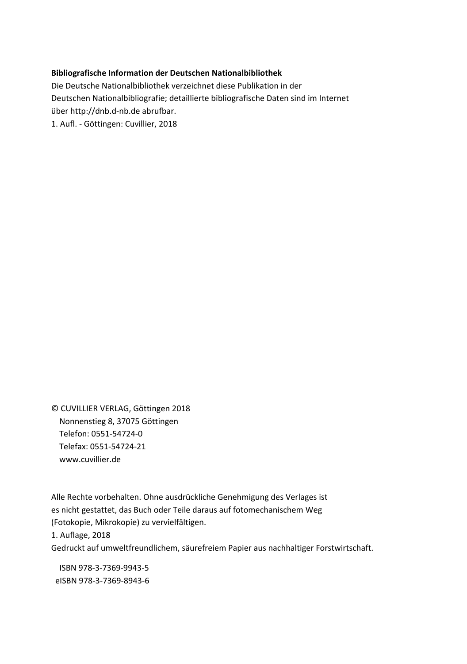#### **Bibliografische Information der Deutschen Nationalbibliothek**

Die Deutsche Nationalbibliothek verzeichnet diese Publikation in der Deutschen Nationalbibliografie; detaillierte bibliografische Daten sind im Internet über http://dnb.d-nb.de abrufbar. 1. Aufl. - Göttingen: Cuvillier, 2018

© CUVILLIER VERLAG, Göttingen 2018 Nonnenstieg 8, 37075 Göttingen Telefon: 0551-54724-0 Telefax: 0551-54724-21 www.cuvillier.de

Alle Rechte vorbehalten. Ohne ausdrückliche Genehmigung des Verlages ist es nicht gestattet, das Buch oder Teile daraus auf fotomechanischem Weg (Fotokopie, Mikrokopie) zu vervielfältigen. 1. Auflage, 2018 Gedruckt auf umweltfreundlichem, säurefreiem Papier aus nachhaltiger Forstwirtschaft.

 ISBN 978-3-7369-9943-5 eISBN 978-3-7369-8943-6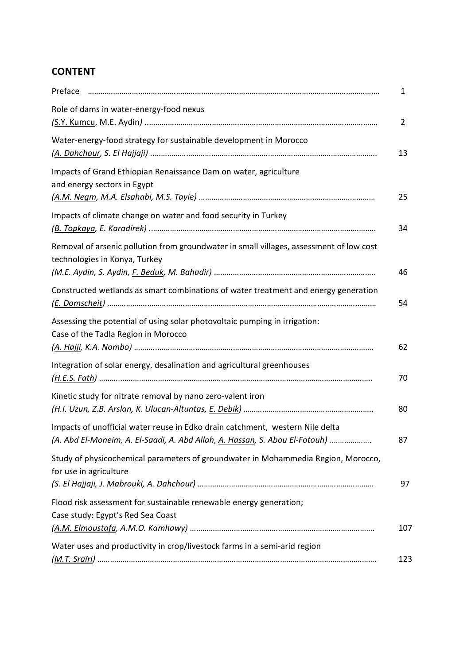# **CONTENT**

| Preface                                                                                                                                                      | 1   |
|--------------------------------------------------------------------------------------------------------------------------------------------------------------|-----|
| Role of dams in water-energy-food nexus                                                                                                                      | 2   |
| Water-energy-food strategy for sustainable development in Morocco                                                                                            | 13  |
| Impacts of Grand Ethiopian Renaissance Dam on water, agriculture<br>and energy sectors in Egypt                                                              | 25  |
| Impacts of climate change on water and food security in Turkey                                                                                               | 34  |
| Removal of arsenic pollution from groundwater in small villages, assessment of low cost<br>technologies in Konya, Turkey                                     | 46  |
| Constructed wetlands as smart combinations of water treatment and energy generation                                                                          | 54  |
| Assessing the potential of using solar photovoltaic pumping in irrigation:<br>Case of the Tadla Region in Morocco                                            | 62  |
| Integration of solar energy, desalination and agricultural greenhouses                                                                                       | 70  |
| Kinetic study for nitrate removal by nano zero-valent iron                                                                                                   | 80  |
| Impacts of unofficial water reuse in Edko drain catchment, western Nile delta<br>(A. Abd El-Moneim, A. El-Saadi, A. Abd Allah, A. Hassan, S. Abou El-Fotouh) | 87  |
| Study of physicochemical parameters of groundwater in Mohammedia Region, Morocco,<br>for use in agriculture                                                  | 97  |
| Flood risk assessment for sustainable renewable energy generation;<br>Case study: Egypt's Red Sea Coast                                                      | 107 |
| Water uses and productivity in crop/livestock farms in a semi-arid region                                                                                    | 123 |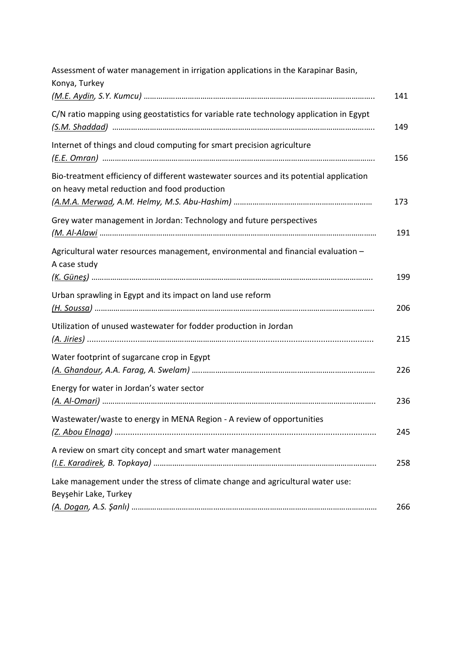| Assessment of water management in irrigation applications in the Karapinar Basin,<br>Konya, Turkey                                     | 141 |
|----------------------------------------------------------------------------------------------------------------------------------------|-----|
| C/N ratio mapping using geostatistics for variable rate technology application in Egypt                                                | 149 |
| Internet of things and cloud computing for smart precision agriculture                                                                 | 156 |
| Bio-treatment efficiency of different wastewater sources and its potential application<br>on heavy metal reduction and food production | 173 |
| Grey water management in Jordan: Technology and future perspectives                                                                    | 191 |
| Agricultural water resources management, environmental and financial evaluation -<br>A case study                                      | 199 |
| Urban sprawling in Egypt and its impact on land use reform                                                                             | 206 |
| Utilization of unused wastewater for fodder production in Jordan                                                                       | 215 |
| Water footprint of sugarcane crop in Egypt                                                                                             | 226 |
| Energy for water in Jordan's water sector                                                                                              | 236 |
| Wastewater/waste to energy in MENA Region - A review of opportunities                                                                  | 245 |
| A review on smart city concept and smart water management                                                                              | 258 |
| Lake management under the stress of climate change and agricultural water use:<br>Beyşehir Lake, Turkey                                |     |
|                                                                                                                                        | 266 |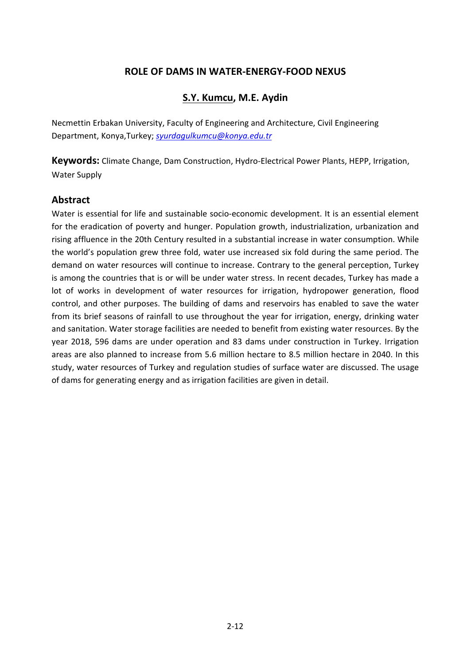### **ROLE OF DAMS IN WATER-ENERGY-FOOD NEXUS**

### **S.Y. Kumcu, M.E. Aydin**

Necmettin Erbakan University, Faculty of Engineering and Architecture, Civil Engineering Department, Konya,Turkey; *[syurdagulkumcu@konya.edu.tr](mailto:syurdagulkumcu@konya.edu.tr)*

**Keywords:** Climate Change, Dam Construction, Hydro-Electrical Power Plants, HEPP, Irrigation, Water Supply

#### **Abstract**

Water is essential for life and sustainable socio-economic development. It is an essential element for the eradication of poverty and hunger. Population growth, industrialization, urbanization and rising affluence in the 20th Century resulted in a substantial increase in water consumption. While the world's population grew three fold, water use increased six fold during the same period. The demand on water resources will continue to increase. Contrary to the general perception, Turkey is among the countries that is or will be under water stress. In recent decades, Turkey has made a lot of works in development of water resources for irrigation, hydropower generation, flood control, and other purposes. The building of dams and reservoirs has enabled to save the water from its brief seasons of rainfall to use throughout the year for irrigation, energy, drinking water and sanitation. Water storage facilities are needed to benefit from existing water resources. By the year 2018, 596 dams are under operation and 83 dams under construction in Turkey. Irrigation areas are also planned to increase from 5.6 million hectare to 8.5 million hectare in 2040. In this study, water resources of Turkey and regulation studies of surface water are discussed. The usage of dams for generating energy and as irrigation facilities are given in detail.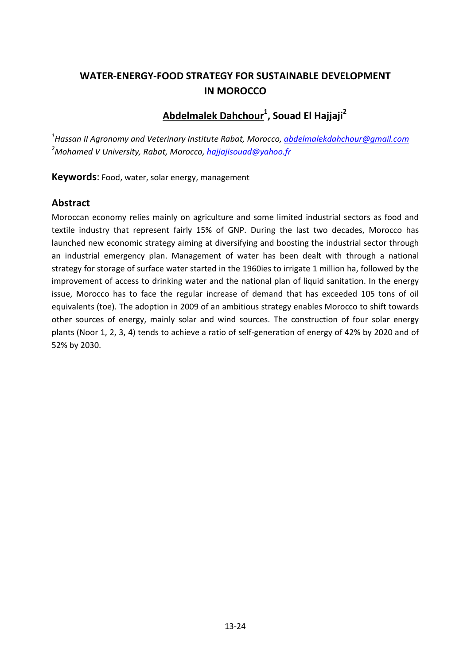# **WATER-ENERGY-FOOD STRATEGY FOR SUSTAINABLE DEVELOPMENT IN MOROCCO**

# **Abdelmalek Dahchour1 , Souad El Hajjaji2**

*1 Hassan II Agronomy and Veterinary Institute Rabat, Morocco[, abdelmalekdahchour@gmail.com](mailto:abdelmalekdahchour@gmail.com) 2 Mohamed V University, Rabat, Morocco[, hajjajisouad@yahoo.fr](mailto:hajjajisouad@yahoo.fr)*

**Keywords**: Food, water, solar energy, management

### **Abstract**

Moroccan economy relies mainly on agriculture and some limited industrial sectors as food and textile industry that represent fairly 15% of GNP. During the last two decades, Morocco has launched new economic strategy aiming at diversifying and boosting the industrial sector through an industrial emergency plan. Management of water has been dealt with through a national strategy for storage of surface water started in the 1960ies to irrigate 1 million ha, followed by the improvement of access to drinking water and the national plan of liquid sanitation. In the energy issue, Morocco has to face the regular increase of demand that has exceeded 105 tons of oil equivalents (toe). The adoption in 2009 of an ambitious strategy enables Morocco to shift towards other sources of energy, mainly solar and wind sources. The construction of four solar energy plants (Noor 1, 2, 3, 4) tends to achieve a ratio of self-generation of energy of 42% by 2020 and of 52% by 2030.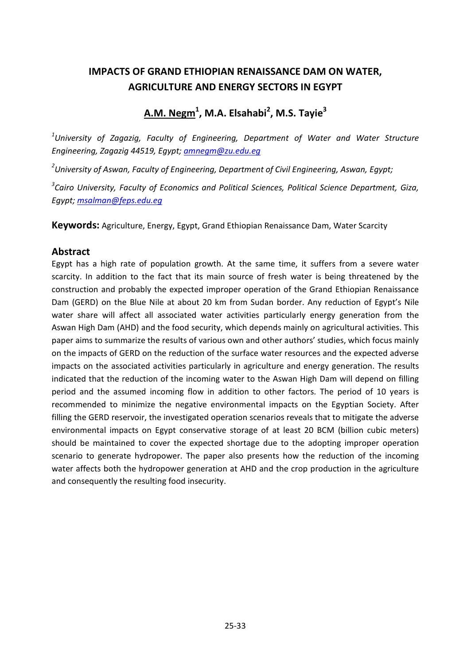# **IMPACTS OF GRAND ETHIOPIAN RENAISSANCE DAM ON WATER, AGRICULTURE AND ENERGY SECTORS IN EGYPT**

**A.M. Negm1 , M.A. Elsahabi<sup>2</sup> , M.S. Tayie3**

*1 University of Zagazig, Faculty of Engineering, Department of Water and Water Structure Engineering, Zagazig 44519, Egypt; [amnegm@zu.edu.eg](mailto:amnegm@zu.edu.eg)*

*2 University of Aswan, Faculty of Engineering, Department of Civil Engineering, Aswan, Egypt;*

*3 Cairo University, Faculty of Economics and Political Sciences, Political Science Department, Giza, Egypt; [msalman@feps.edu.eg](mailto:msalman@feps.edu.eg)*

**Keywords:** Agriculture, Energy, Egypt, Grand Ethiopian Renaissance Dam, Water Scarcity

#### **Abstract**

Egypt has a high rate of population growth. At the same time, it suffers from a severe water scarcity. In addition to the fact that its main source of fresh water is being threatened by the construction and probably the expected improper operation of the Grand Ethiopian Renaissance Dam (GERD) on the Blue Nile at about 20 km from Sudan border. Any reduction of Egypt's Nile water share will affect all associated water activities particularly energy generation from the Aswan High Dam (AHD) and the food security, which depends mainly on agricultural activities. This paper aims to summarize the results of various own and other authors' studies, which focus mainly on the impacts of GERD on the reduction of the surface water resources and the expected adverse impacts on the associated activities particularly in agriculture and energy generation. The results indicated that the reduction of the incoming water to the Aswan High Dam will depend on filling period and the assumed incoming flow in addition to other factors. The period of 10 years is recommended to minimize the negative environmental impacts on the Egyptian Society. After filling the GERD reservoir, the investigated operation scenarios reveals that to mitigate the adverse environmental impacts on Egypt conservative storage of at least 20 BCM (billion cubic meters) should be maintained to cover the expected shortage due to the adopting improper operation scenario to generate hydropower. The paper also presents how the reduction of the incoming water affects both the hydropower generation at AHD and the crop production in the agriculture and consequently the resulting food insecurity.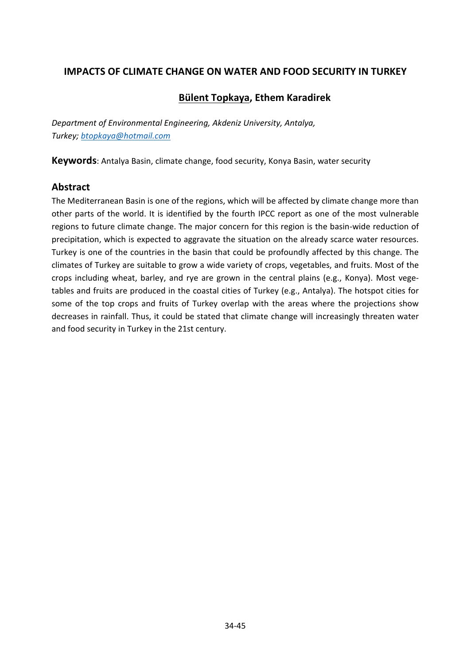### **IMPACTS OF CLIMATE CHANGE ON WATER AND FOOD SECURITY IN TURKEY**

### **Bülent Topkaya, Ethem Karadirek**

*Department of Environmental Engineering, Akdeniz University, Antalya, Turkey; [btopkaya@hotmail.com](mailto:btopkaya@hotmail.com)*

**Keywords**: Antalya Basin, climate change, food security, Konya Basin, water security

### **Abstract**

The Mediterranean Basin is one of the regions, which will be affected by climate change more than other parts of the world. It is identified by the fourth IPCC report as one of the most vulnerable regions to future climate change. The major concern for this region is the basin-wide reduction of precipitation, which is expected to aggravate the situation on the already scarce water resources. Turkey is one of the countries in the basin that could be profoundly affected by this change. The climates of Turkey are suitable to grow a wide variety of crops, vegetables, and fruits. Most of the crops including wheat, barley, and rye are grown in the central plains (e.g., Konya). Most vegetables and fruits are produced in the coastal cities of Turkey (e.g., Antalya). The hotspot cities for some of the top crops and fruits of Turkey overlap with the areas where the projections show decreases in rainfall. Thus, it could be stated that climate change will increasingly threaten water and food security in Turkey in the 21st century.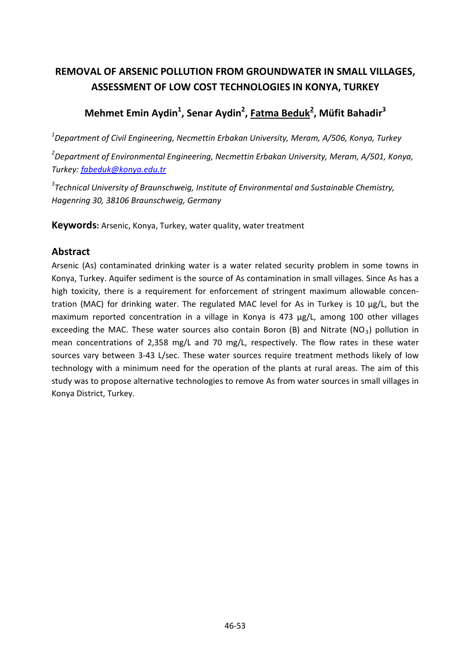# **REMOVAL OF ARSENIC POLLUTION FROM GROUNDWATER IN SMALL VILLAGES, ASSESSMENT OF LOW COST TECHNOLOGIES IN KONYA, TURKEY**

# **Mehmet Emin Aydin1 , Senar Aydin2 , Fatma Beduk2 , Müfit Bahadir3**

*1 Department of Civil Engineering, Necmettin Erbakan University, Meram, A/506, Konya, Turkey 2 Department of Environmental Engineering, Necmettin Erbakan University, Meram, A/501, Konya, Turkey: [fabeduk@konya.edu.tr](mailto:fabeduk@konya.edu.tr)*

*3 Technical University of Braunschweig, Institute of Environmental and Sustainable Chemistry, Hagenring 30, 38106 Braunschweig, Germany*

**Keywords:** Arsenic, Konya, Turkey, water quality, water treatment

### **Abstract**

Arsenic (As) contaminated drinking water is a water related security problem in some towns in Konya, Turkey. Aquifer sediment is the source of As contamination in small villages. Since As has a high toxicity, there is a requirement for enforcement of stringent maximum allowable concentration (MAC) for drinking water. The regulated MAC level for As in Turkey is 10 μg/L, but the maximum reported concentration in a village in Konya is 473 µg/L, among 100 other villages exceeding the MAC. These water sources also contain Boron (B) and Nitrate (NO<sub>3</sub>) pollution in mean concentrations of 2,358 mg/L and 70 mg/L, respectively. The flow rates in these water sources vary between 3-43 L/sec. These water sources require treatment methods likely of low technology with a minimum need for the operation of the plants at rural areas. The aim of this study was to propose alternative technologies to remove As from water sources in small villages in Konya District, Turkey.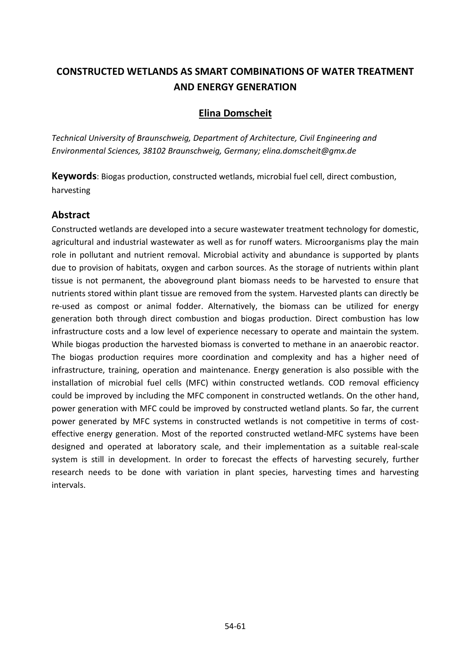# **CONSTRUCTED WETLANDS AS SMART COMBINATIONS OF WATER TREATMENT AND ENERGY GENERATION**

### **Elina Domscheit**

*Technical University of Braunschweig, Department of Architecture, Civil Engineering and Environmental Sciences, 38102 Braunschweig, Germany; [elina.domscheit@gmx.de](mailto:elina.domscheit@gmx.de)*

**Keywords**: Biogas production, constructed wetlands, microbial fuel cell, direct combustion, harvesting

### **Abstract**

Constructed wetlands are developed into a secure wastewater treatment technology for domestic, agricultural and industrial wastewater as well as for runoff waters. Microorganisms play the main role in pollutant and nutrient removal. Microbial activity and abundance is supported by plants due to provision of habitats, oxygen and carbon sources. As the storage of nutrients within plant tissue is not permanent, the aboveground plant biomass needs to be harvested to ensure that nutrients stored within plant tissue are removed from the system. Harvested plants can directly be re-used as compost or animal fodder. Alternatively, the biomass can be utilized for energy generation both through direct combustion and biogas production. Direct combustion has low infrastructure costs and a low level of experience necessary to operate and maintain the system. While biogas production the harvested biomass is converted to methane in an anaerobic reactor. The biogas production requires more coordination and complexity and has a higher need of infrastructure, training, operation and maintenance. Energy generation is also possible with the installation of microbial fuel cells (MFC) within constructed wetlands. COD removal efficiency could be improved by including the MFC component in constructed wetlands. On the other hand, power generation with MFC could be improved by constructed wetland plants. So far, the current power generated by MFC systems in constructed wetlands is not competitive in terms of costeffective energy generation. Most of the reported constructed wetland-MFC systems have been designed and operated at laboratory scale, and their implementation as a suitable real-scale system is still in development. In order to forecast the effects of harvesting securely, further research needs to be done with variation in plant species, harvesting times and harvesting intervals.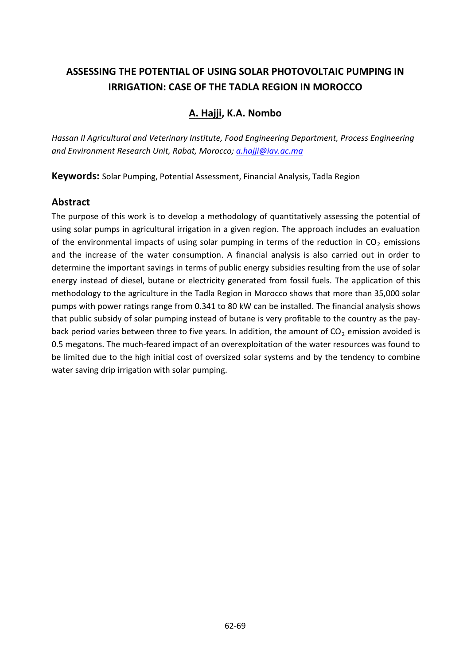# **ASSESSING THE POTENTIAL OF USING SOLAR PHOTOVOLTAIC PUMPING IN IRRIGATION: CASE OF THE TADLA REGION IN MOROCCO**

### **A. Hajji, K.A. Nombo**

*Hassan II Agricultural and Veterinary Institute, Food Engineering Department, Process Engineering and Environment Research Unit, Rabat, Morocco; [a.hajji@iav.ac.ma](mailto:a.hajji@iav.ac.ma)*

**Keywords:** Solar Pumping, Potential Assessment, Financial Analysis, Tadla Region

### **Abstract**

The purpose of this work is to develop a methodology of quantitatively assessing the potential of using solar pumps in agricultural irrigation in a given region. The approach includes an evaluation of the environmental impacts of using solar pumping in terms of the reduction in  $CO<sub>2</sub>$  emissions and the increase of the water consumption. A financial analysis is also carried out in order to determine the important savings in terms of public energy subsidies resulting from the use of solar energy instead of diesel, butane or electricity generated from fossil fuels. The application of this methodology to the agriculture in the Tadla Region in Morocco shows that more than 35,000 solar pumps with power ratings range from 0.341 to 80 kW can be installed. The financial analysis shows that public subsidy of solar pumping instead of butane is very profitable to the country as the payback period varies between three to five years. In addition, the amount of  $CO<sub>2</sub>$  emission avoided is 0.5 megatons. The much-feared impact of an overexploitation of the water resources was found to be limited due to the high initial cost of oversized solar systems and by the tendency to combine water saving drip irrigation with solar pumping.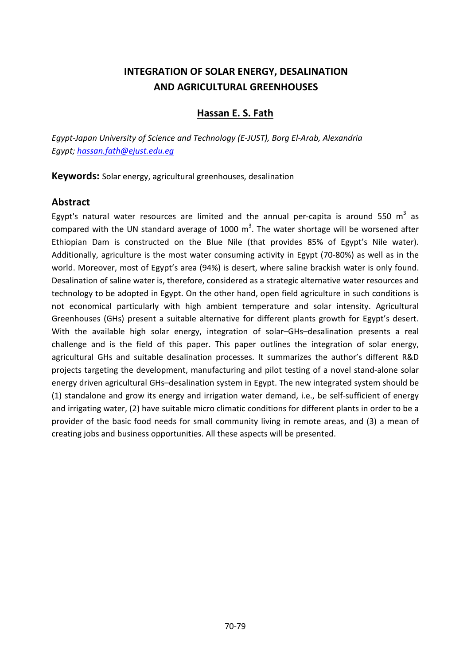## **INTEGRATION OF SOLAR ENERGY, DESALINATION AND AGRICULTURAL GREENHOUSES**

#### **Hassan E. S. Fath**

*Egypt-Japan University of Science and Technology (E-JUST), Borg El-Arab, Alexandria Egypt; [hassan.fath@ejust.edu.eg](mailto:hassan.fath@ejust.edu.eg)*

**Keywords:** Solar energy, agricultural greenhouses, desalination

#### **Abstract**

Egypt's natural water resources are limited and the annual per-capita is around 550  $m<sup>3</sup>$  as compared with the UN standard average of 1000  $\text{m}^3$ . The water shortage will be worsened after Ethiopian Dam is constructed on the Blue Nile (that provides 85% of Egypt's Nile water). Additionally, agriculture is the most water consuming activity in Egypt (70-80%) as well as in the world. Moreover, most of Egypt's area (94%) is desert, where saline brackish water is only found. Desalination of saline water is, therefore, considered as a strategic alternative water resources and technology to be adopted in Egypt. On the other hand, open field agriculture in such conditions is not economical particularly with high ambient temperature and solar intensity. Agricultural Greenhouses (GHs) present a suitable alternative for different plants growth for Egypt's desert. With the available high solar energy, integration of solar–GHs–desalination presents a real challenge and is the field of this paper. This paper outlines the integration of solar energy, agricultural GHs and suitable desalination processes. It summarizes the author's different R&D projects targeting the development, manufacturing and pilot testing of a novel stand-alone solar energy driven agricultural GHs–desalination system in Egypt. The new integrated system should be (1) standalone and grow its energy and irrigation water demand, i.e., be self-sufficient of energy and irrigating water, (2) have suitable micro climatic conditions for different plants in order to be a provider of the basic food needs for small community living in remote areas, and (3) a mean of creating jobs and business opportunities. All these aspects will be presented.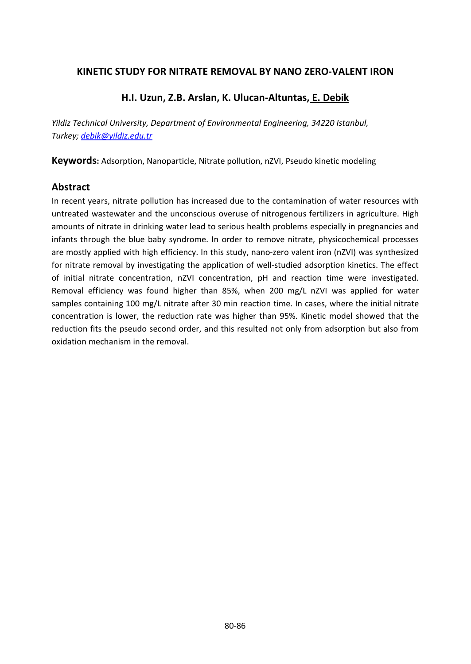#### **KINETIC STUDY FOR NITRATE REMOVAL BY NANO ZERO-VALENT IRON**

### **H.I. Uzun, Z.B. Arslan, K. Ulucan-Altuntas, E. Debik**

*Yildiz Technical University, Department of Environmental Engineering, 34220 Istanbul, Turkey; [debik@yildiz.edu.tr](mailto:debik@yildiz.edu.tr)*

**Keywords:** Adsorption, Nanoparticle, Nitrate pollution, nZVI, Pseudo kinetic modeling

#### **Abstract**

In recent years, nitrate pollution has increased due to the contamination of water resources with untreated wastewater and the unconscious overuse of nitrogenous fertilizers in agriculture. High amounts of nitrate in drinking water lead to serious health problems especially in pregnancies and infants through the blue baby syndrome. In order to remove nitrate, physicochemical processes are mostly applied with high efficiency. In this study, nano-zero valent iron (nZVI) was synthesized for nitrate removal by investigating the application of well-studied adsorption kinetics. The effect of initial nitrate concentration, nZVI concentration, pH and reaction time were investigated. Removal efficiency was found higher than 85%, when 200 mg/L nZVI was applied for water samples containing 100 mg/L nitrate after 30 min reaction time. In cases, where the initial nitrate concentration is lower, the reduction rate was higher than 95%. Kinetic model showed that the reduction fits the pseudo second order, and this resulted not only from adsorption but also from oxidation mechanism in the removal.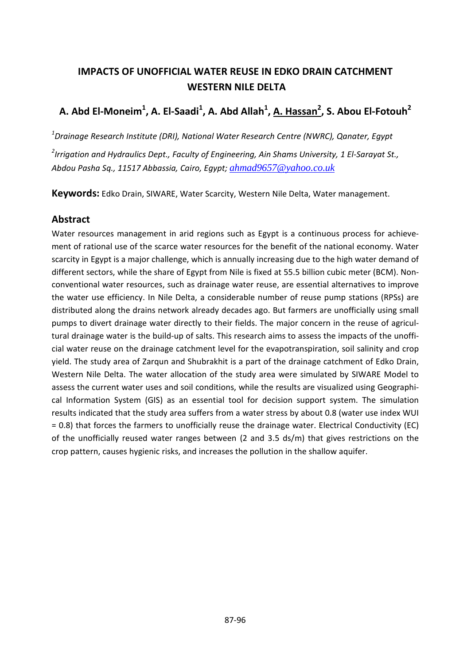# **IMPACTS OF UNOFFICIAL WATER REUSE IN EDKO DRAIN CATCHMENT WESTERN NILE DELTA**

# **A. Abd El-Moneim1 , A. El-Saadi<sup>1</sup> , A. Abd Allah<sup>1</sup> , A. Hassan<sup>2</sup> , S. Abou El-Fotouh<sup>2</sup>**

*1 Drainage Research Institute (DRI), National Water Research Centre (NWRC), Qanater, Egypt*

*2 Irrigation and Hydraulics Dept., Faculty of Engineering, Ain Shams University, 1 El-Sarayat St., Abdou Pasha Sq., 11517 Abbassia, Cairo, Egypt; [ahmad9657@yahoo.co.uk](mailto:ahmad9657@yahoo.co.uk)*

**Keywords:** Edko Drain, SIWARE, Water Scarcity, Western Nile Delta, Water management.

### **Abstract**

Water resources management in arid regions such as Egypt is a continuous process for achievement of rational use of the scarce water resources for the benefit of the national economy. Water scarcity in Egypt is a major challenge, which is annually increasing due to the high water demand of different sectors, while the share of Egypt from Nile is fixed at 55.5 billion cubic meter (BCM). Nonconventional water resources, such as drainage water reuse, are essential alternatives to improve the water use efficiency. In Nile Delta, a considerable number of reuse pump stations (RPSs) are distributed along the drains network already decades ago. But farmers are unofficially using small pumps to divert drainage water directly to their fields. The major concern in the reuse of agricultural drainage water is the build-up of salts. This research aims to assess the impacts of the unofficial water reuse on the drainage catchment level for the evapotranspiration, soil salinity and crop yield. The study area of Zarqun and Shubrakhit is a part of the drainage catchment of Edko Drain, Western Nile Delta. The water allocation of the study area were simulated by SIWARE Model to assess the current water uses and soil conditions, while the results are visualized using Geographical Information System (GIS) as an essential tool for decision support system. The simulation results indicated that the study area suffers from a water stress by about 0.8 (water use index WUI = 0.8) that forces the farmers to unofficially reuse the drainage water. Electrical Conductivity (EC) of the unofficially reused water ranges between (2 and 3.5 ds/m) that gives restrictions on the crop pattern, causes hygienic risks, and increases the pollution in the shallow aquifer.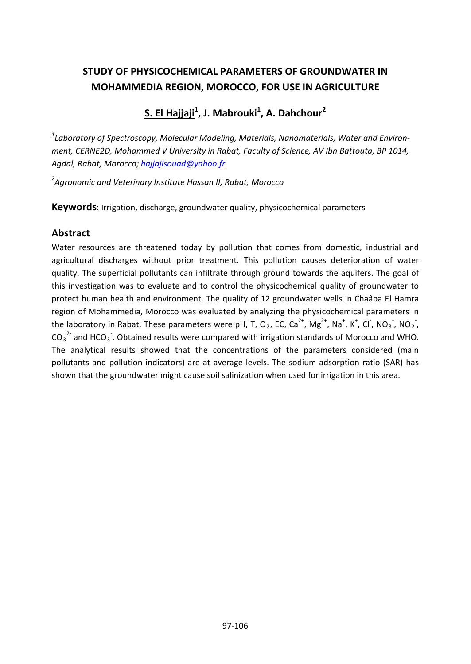# **STUDY OF PHYSICOCHEMICAL PARAMETERS OF GROUNDWATER IN MOHAMMEDIA REGION, MOROCCO, FOR USE IN AGRICULTURE**

**S. El Hajjaji1 , J. Mabrouki<sup>1</sup> , A. Dahchour2**

*1 Laboratory of Spectroscopy, Molecular Modeling, Materials, Nanomaterials, Water and Environment, CERNE2D, Mohammed V University in Rabat, Faculty of Science, AV Ibn Battouta, BP 1014, Agdal, Rabat, Morocco; [hajjajisouad@yahoo.fr](mailto:hajjajisouad@yahoo.fr)*

*2 Agronomic and Veterinary Institute Hassan II, Rabat, Morocco*

**Keywords**: Irrigation, discharge, groundwater quality, physicochemical parameters

### **Abstract**

Water resources are threatened today by pollution that comes from domestic, industrial and agricultural discharges without prior treatment. This pollution causes deterioration of water quality. The superficial pollutants can infiltrate through ground towards the aquifers. The goal of this investigation was to evaluate and to control the physicochemical quality of groundwater to protect human health and environment. The quality of 12 groundwater wells in Chaâba El Hamra region of Mohammedia, Morocco was evaluated by analyzing the physicochemical parameters in the laboratory in Rabat. These parameters were pH, T, O<sub>2</sub>, EC, Ca<sup>2+</sup>, Mg<sup>2+</sup>, Na<sup>+</sup>, K<sup>+</sup>, Cl<sup>-</sup>, NO<sub>3</sub><sup>-</sup>, NO<sub>2</sub><sup>-</sup>,  $CO_3^2$  and HCO<sub>3</sub>. Obtained results were compared with irrigation standards of Morocco and WHO. The analytical results showed that the concentrations of the parameters considered (main pollutants and pollution indicators) are at average levels. The sodium adsorption ratio (SAR) has shown that the groundwater might cause soil salinization when used for irrigation in this area.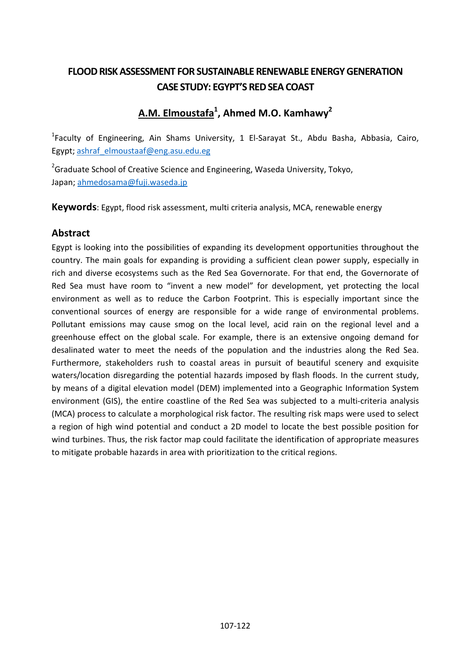# **FLOOD RISK ASSESSMENT FOR SUSTAINABLE RENEWABLE ENERGY GENERATION CASE STUDY: EGYPT'S RED SEA COAST**

# **A.M. Elmoustafa1 , Ahmed M.O. Kamhawy2**

<sup>1</sup>Faculty of Engineering, Ain Shams University, 1 El-Sarayat St., Abdu Basha, Abbasia, Cairo, Egypt; [ashraf\\_elmoustaaf@eng.asu.edu.eg](mailto:ashraf_elmoustaaf@eng.asu.edu.eg)

 $^{2}$ Graduate School of Creative Science and Engineering, Waseda University, Tokyo, Japan; [ahmedosama@fuji.waseda.jp](mailto:ahmedosama@fuji.waseda.jp)

**Keywords**: Egypt, flood risk assessment, multi criteria analysis, MCA, renewable energy

### **Abstract**

Egypt is looking into the possibilities of expanding its development opportunities throughout the country. The main goals for expanding is providing a sufficient clean power supply, especially in rich and diverse ecosystems such as the Red Sea Governorate. For that end, the Governorate of Red Sea must have room to "invent a new model" for development, yet protecting the local environment as well as to reduce the Carbon Footprint. This is especially important since the conventional sources of energy are responsible for a wide range of environmental problems. Pollutant emissions may cause smog on the local level, acid rain on the regional level and a greenhouse effect on the global scale. For example, there is an extensive ongoing demand for desalinated water to meet the needs of the population and the industries along the Red Sea. Furthermore, stakeholders rush to coastal areas in pursuit of beautiful scenery and exquisite waters/location disregarding the potential hazards imposed by flash floods. In the current study, by means of a digital elevation model (DEM) implemented into a Geographic Information System environment (GIS), the entire coastline of the Red Sea was subjected to a multi-criteria analysis (MCA) process to calculate a morphological risk factor. The resulting risk maps were used to select a region of high wind potential and conduct a 2D model to locate the best possible position for wind turbines. Thus, the risk factor map could facilitate the identification of appropriate measures to mitigate probable hazards in area with prioritization to the critical regions.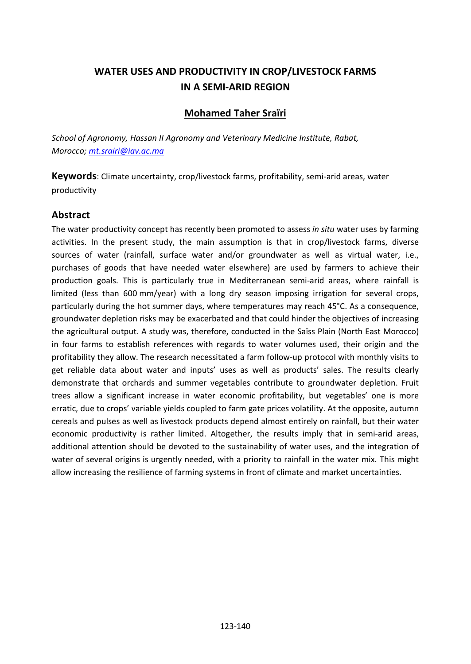# **WATER USES AND PRODUCTIVITY IN CROP/LIVESTOCK FARMS IN A SEMI-ARID REGION**

### **Mohamed Taher Sraïri**

*School of Agronomy, Hassan II Agronomy and Veterinary Medicine Institute, Rabat, Morocco[; mt.srairi@iav.ac.ma](mailto:mt.srairi@iav.ac.ma)*

**Keywords**: Climate uncertainty, crop/livestock farms, profitability, semi-arid areas, water productivity

### **Abstract**

The water productivity concept has recently been promoted to assess *in situ* water uses by farming activities. In the present study, the main assumption is that in crop/livestock farms, diverse sources of water (rainfall, surface water and/or groundwater as well as virtual water, i.e., purchases of goods that have needed water elsewhere) are used by farmers to achieve their production goals. This is particularly true in Mediterranean semi-arid areas, where rainfall is limited (less than 600 mm/year) with a long dry season imposing irrigation for several crops, particularly during the hot summer days, where temperatures may reach 45°C. As a consequence, groundwater depletion risks may be exacerbated and that could hinder the objectives of increasing the agricultural output. A study was, therefore, conducted in the Saïss Plain (North East Morocco) in four farms to establish references with regards to water volumes used, their origin and the profitability they allow. The research necessitated a farm follow-up protocol with monthly visits to get reliable data about water and inputs' uses as well as products' sales. The results clearly demonstrate that orchards and summer vegetables contribute to groundwater depletion. Fruit trees allow a significant increase in water economic profitability, but vegetables' one is more erratic, due to crops' variable yields coupled to farm gate prices volatility. At the opposite, autumn cereals and pulses as well as livestock products depend almost entirely on rainfall, but their water economic productivity is rather limited. Altogether, the results imply that in semi-arid areas, additional attention should be devoted to the sustainability of water uses, and the integration of water of several origins is urgently needed, with a priority to rainfall in the water mix. This might allow increasing the resilience of farming systems in front of climate and market uncertainties.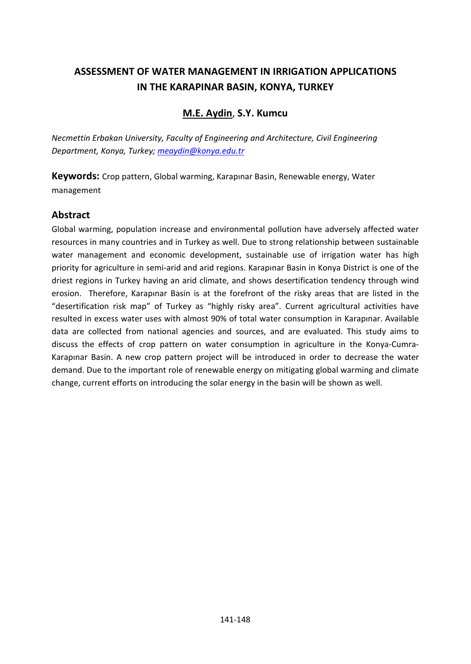# **ASSESSMENT OF WATER MANAGEMENT IN IRRIGATION APPLICATIONS IN THE KARAPINAR BASIN, KONYA, TURKEY**

### **M.E. Aydin**, **S.Y. Kumcu**

*Necmettin Erbakan University, Faculty of Engineering and Architecture, Civil Engineering Department, Konya, Turkey[; meaydin@konya.edu.tr](mailto:meaydin@konya.edu.tr)*

**Keywords:** Crop pattern, Global warming, Karapınar Basin, Renewable energy, Water management

### **Abstract**

Global warming, population increase and environmental pollution have adversely affected water resources in many countries and in Turkey as well. Due to strong relationship between sustainable water management and economic development, sustainable use of irrigation water has high priority for agriculture in semi-arid and arid regions. Karapınar Basin in Konya District is one of the driest regions in Turkey having an arid climate, and shows desertification tendency through wind erosion. Therefore, Karapınar Basin is at the forefront of the risky areas that are listed in the "desertification risk map" of Turkey as "highly risky area". Current agricultural activities have resulted in excess water uses with almost 90% of total water consumption in Karapınar. Available data are collected from national agencies and sources, and are evaluated. This study aims to discuss the effects of crop pattern on water consumption in agriculture in the Konya-Cumra-Karapınar Basin. A new crop pattern project will be introduced in order to decrease the water demand. Due to the important role of renewable energy on mitigating global warming and climate change, current efforts on introducing the solar energy in the basin will be shown as well.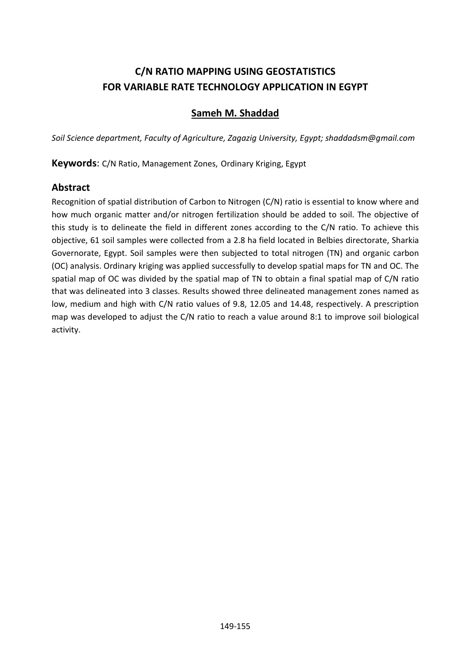# **C/N RATIO MAPPING USING GEOSTATISTICS FOR VARIABLE RATE TECHNOLOGY APPLICATION IN EGYPT**

### **Sameh M. Shaddad**

*Soil Science department, Faculty of Agriculture, Zagazig University, Egypt[; shaddadsm@gmail.com](mailto:shaddadsm@gmail.com)*

**Keywords**: C/N Ratio, Management Zones, Ordinary Kriging, Egypt

#### **Abstract**

Recognition of spatial distribution of Carbon to Nitrogen (C/N) ratio is essential to know where and how much organic matter and/or nitrogen fertilization should be added to soil. The objective of this study is to delineate the field in different zones according to the C/N ratio. To achieve this objective, 61 soil samples were collected from a 2.8 ha field located in Belbies directorate, Sharkia Governorate, Egypt. Soil samples were then subjected to total nitrogen (TN) and organic carbon (OC) analysis. Ordinary kriging was applied successfully to develop spatial maps for TN and OC. The spatial map of OC was divided by the spatial map of TN to obtain a final spatial map of C/N ratio that was delineated into 3 classes. Results showed three delineated management zones named as low, medium and high with C/N ratio values of 9.8, 12.05 and 14.48, respectively. A prescription map was developed to adjust the C/N ratio to reach a value around 8:1 to improve soil biological activity.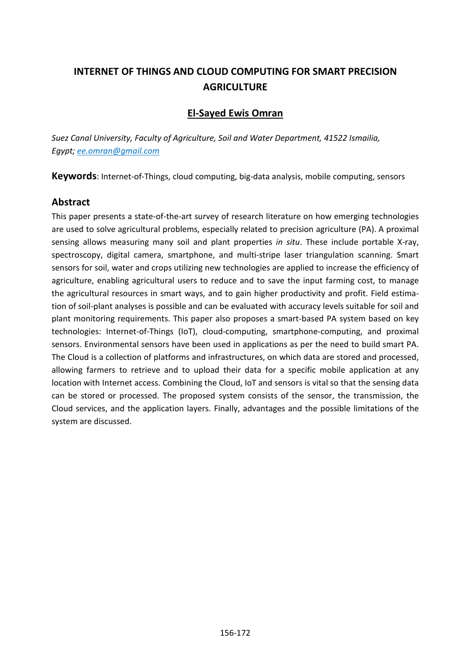# **INTERNET OF THINGS AND CLOUD COMPUTING FOR SMART PRECISION AGRICULTURE**

### **El-Sayed Ewis Omran**

*Suez Canal University, Faculty of Agriculture, Soil and Water Department, 41522 Ismailia, Egypt; [ee.omran@gmail.com](mailto:ee.omran@gmail.com)*

**Keywords**: Internet-of-Things, cloud computing, big-data analysis, mobile computing, sensors

### **Abstract**

This paper presents a state-of-the-art survey of research literature on how emerging technologies are used to solve agricultural problems, especially related to precision agriculture (PA). A proximal sensing allows measuring many soil and plant properties *in situ*. These include portable X-ray, spectroscopy, digital camera, smartphone, and multi-stripe laser triangulation scanning. Smart sensors for soil, water and crops utilizing new technologies are applied to increase the efficiency of agriculture, enabling agricultural users to reduce and to save the input farming cost, to manage the agricultural resources in smart ways, and to gain higher productivity and profit. Field estimation of soil-plant analyses is possible and can be evaluated with accuracy levels suitable for soil and plant monitoring requirements. This paper also proposes a smart-based PA system based on key technologies: Internet-of-Things (IoT), cloud-computing, smartphone-computing, and proximal sensors. Environmental sensors have been used in applications as per the need to build smart PA. The Cloud is a collection of platforms and infrastructures, on which data are stored and processed, allowing farmers to retrieve and to upload their data for a specific mobile application at any location with Internet access. Combining the Cloud, IoT and sensors is vital so that the sensing data can be stored or processed. The proposed system consists of the sensor, the transmission, the Cloud services, and the application layers. Finally, advantages and the possible limitations of the system are discussed.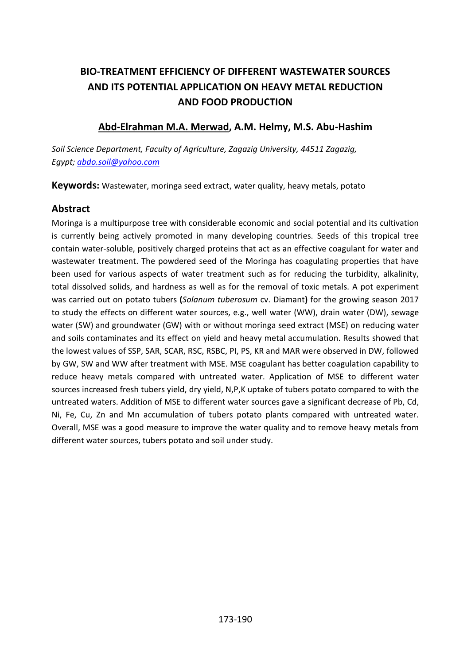# **BIO-TREATMENT EFFICIENCY OF DIFFERENT WASTEWATER SOURCES AND ITS POTENTIAL APPLICATION ON HEAVY METAL REDUCTION AND FOOD PRODUCTION**

### **Abd-Elrahman M.A. Merwad, A.M. Helmy, M.S. Abu-Hashim**

*Soil Science Department, Faculty of Agriculture, Zagazig University, 44511 Zagazig, Egypt; [abdo.soil@yahoo.com](mailto:abdo.soil@yahoo.com)*

**Keywords:** Wastewater, moringa seed extract, water quality, heavy metals, potato

### **Abstract**

Moringa is a multipurpose tree with considerable economic and social potential and its cultivation is currently being actively promoted in many developing countries. Seeds of this tropical tree contain water-soluble, positively charged proteins that act as an effective coagulant for water and wastewater treatment. The powdered seed of the Moringa has coagulating properties that have been used for various aspects of water treatment such as for reducing the turbidity, alkalinity, total dissolved solids, and hardness as well as for the removal of toxic metals. A pot experiment was carried out on potato tubers **(***Solanum tuberosum* cv. Diamant**)** for the growing season 2017 to study the effects on different water sources, e.g., well water (WW), drain water (DW), sewage water (SW) and groundwater (GW) with or without moringa seed extract (MSE) on reducing water and soils contaminates and its effect on yield and heavy metal accumulation. Results showed that the lowest values of SSP, SAR, SCAR, RSC, RSBC, PI, PS, KR and MAR were observed in DW, followed by GW, SW and WW after treatment with MSE. MSE coagulant has better coagulation capability to reduce heavy metals compared with untreated water. Application of MSE to different water sources increased fresh tubers yield, dry yield, N,P,K uptake of tubers potato compared to with the untreated waters. Addition of MSE to different water sources gave a significant decrease of Pb, Cd, Ni, Fe, Cu, Zn and Mn accumulation of tubers potato plants compared with untreated water. Overall, MSE was a good measure to improve the water quality and to remove heavy metals from different water sources, tubers potato and soil under study.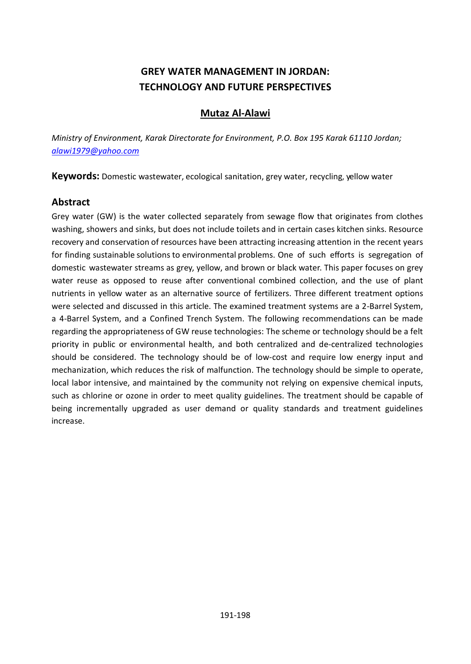# **GREY WATER MANAGEMENT IN JORDAN: TECHNOLOGY AND FUTURE PERSPECTIVES**

#### **Mutaz Al-Alawi**

*Ministry of Environment, Karak Directorate for Environment, P.O. Box 195 Karak 61110 Jordan; [alawi1979@yahoo.com](mailto:alawi1979@yahoo.com)*

**Keywords:** Domestic wastewater, ecological sanitation, grey water, recycling, yellow water

### **Abstract**

Grey water (GW) is the water collected separately from sewage flow that originates from clothes washing, showers and sinks, but does not include toilets and in certain cases kitchen sinks. Resource recovery and conservation of resources have been attracting increasing attention in the recent years for finding sustainable solutions to environmental problems. One of such efforts is segregation of domestic wastewater streams as grey, yellow, and brown or black water. This paper focuses on grey water reuse as opposed to reuse after conventional combined collection, and the use of plant nutrients in yellow water as an alternative source of fertilizers. Three different treatment options were selected and discussed in this article. The examined treatment systems are a 2-Barrel System, a 4-Barrel System, and a Confined Trench System. The following recommendations can be made regarding the appropriateness of GW reuse technologies: The scheme or technology should be a felt priority in public or environmental health, and both centralized and de-centralized technologies should be considered. The technology should be of low-cost and require low energy input and mechanization, which reduces the risk of malfunction. The technology should be simple to operate, local labor intensive, and maintained by the community not relying on expensive chemical inputs, such as chlorine or ozone in order to meet quality guidelines. The treatment should be capable of being incrementally upgraded as user demand or quality standards and treatment guidelines increase.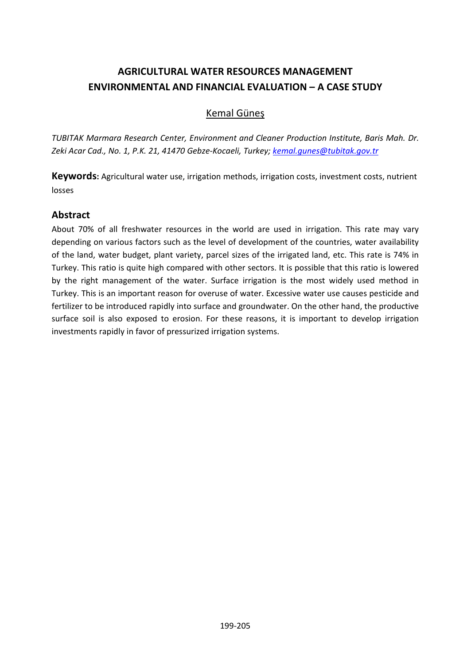# **AGRICULTURAL WATER RESOURCES MANAGEMENT ENVIRONMENTAL AND FINANCIAL EVALUATION – A CASE STUDY**

### Kemal Güneş

*TUBITAK Marmara Research Center, Environment and Cleaner Production Institute, Baris Mah. Dr. Zeki Acar Cad., No. 1, P.K. 21, 41470 Gebze-Kocaeli, Turkey; [kemal.gunes@tubitak.gov.tr](mailto:kemal.gunes@tubitak.gov.tr)*

**Keywords:** Agricultural water use, irrigation methods, irrigation costs, investment costs, nutrient losses

### **Abstract**

About 70% of all freshwater resources in the world are used in irrigation. This rate may vary depending on various factors such as the level of development of the countries, water availability of the land, water budget, plant variety, parcel sizes of the irrigated land, etc. This rate is 74% in Turkey. This ratio is quite high compared with other sectors. It is possible that this ratio is lowered by the right management of the water. Surface irrigation is the most widely used method in Turkey. This is an important reason for overuse of water. Excessive water use causes pesticide and fertilizer to be introduced rapidly into surface and groundwater. On the other hand, the productive surface soil is also exposed to erosion. For these reasons, it is important to develop irrigation investments rapidly in favor of pressurized irrigation systems.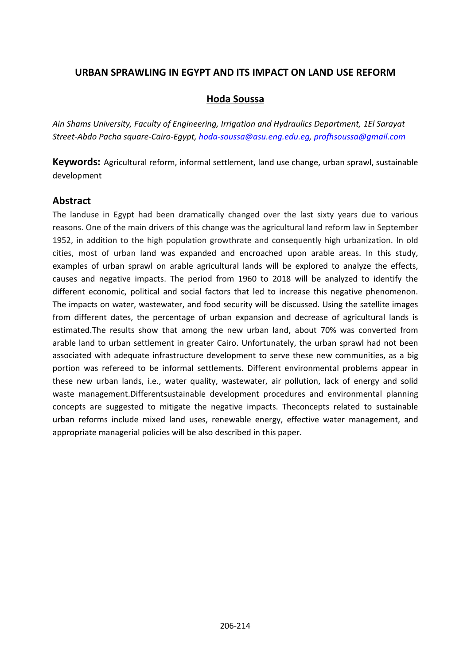### **URBAN SPRAWLING IN EGYPT AND ITS IMPACT ON LAND USE REFORM**

### **Hoda Soussa**

*Ain Shams University, Faculty of Engineering, Irrigation and Hydraulics Department, 1El Sarayat Street-Abdo Pacha square-Cairo-Egypt, [hoda-soussa@asu.eng.edu.eg,](mailto:hoda-soussa@asu.eng.edu.eg) [profhsoussa@gmail.com](mailto:profhsoussa@gmail.com)*

**Keywords:** Agricultural reform, informal settlement, land use change, urban sprawl, sustainable development

### **Abstract**

The landuse in Egypt had been dramatically changed over the last sixty years due to various reasons. One of the main drivers of this change was the agricultural land reform law in September 1952, in addition to the high population growthrate and consequently high urbanization. In old cities, most of urban land was expanded and encroached upon arable areas. In this study, examples of urban sprawl on arable agricultural lands will be explored to analyze the effects, causes and negative impacts. The period from 1960 to 2018 will be analyzed to identify the different economic, political and social factors that led to increase this negative phenomenon. The impacts on water, wastewater, and food security will be discussed. Using the satellite images from different dates, the percentage of urban expansion and decrease of agricultural lands is estimated.The results show that among the new urban land, about 70% was converted from arable land to urban settlement in greater Cairo. Unfortunately, the urban sprawl had not been associated with adequate infrastructure development to serve these new communities, as a big portion was refereed to be informal settlements. Different environmental problems appear in these new urban lands, i.e., water quality, wastewater, air pollution, lack of energy and solid waste management.Differentsustainable development procedures and environmental planning concepts are suggested to mitigate the negative impacts. Theconcepts related to sustainable urban reforms include mixed land uses, renewable energy, effective water management, and appropriate managerial policies will be also described in this paper.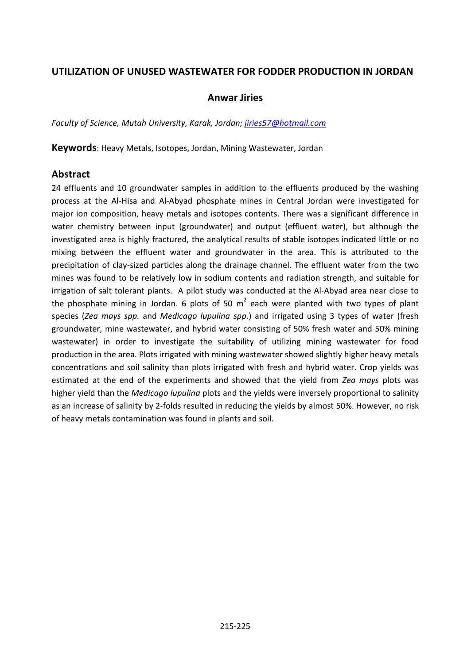### **UTILIZATION OF UNUSED WASTEWATER FOR FODDER PRODUCTION IN JORDAN**

#### **Anwar Jiries**

*Faculty of Science, Mutah University, Karak, Jordan; [jiries57@hotmail.com](mailto:jiries57@hotmail.com)*

**Keywords**: Heavy Metals, Isotopes, Jordan, Mining Wastewater, Jordan

#### **Abstract**

24 effluents and 10 groundwater samples in addition to the effluents produced by the washing process at the Al-Hisa and Al-Abyad phosphate mines in Central Jordan were investigated for major ion composition, heavy metals and isotopes contents. There was a significant difference in water chemistry between input (groundwater) and output (effluent water), but although the investigated area is highly fractured, the analytical results of stable isotopes indicated little or no mixing between the effluent water and groundwater in the area. This is attributed to the precipitation of clay-sized particles along the drainage channel. The effluent water from the two mines was found to be relatively low in sodium contents and radiation strength, and suitable for irrigation of salt tolerant plants. A pilot study was conducted at the Al-Abyad area near close to the phosphate mining in Jordan. 6 plots of 50  $m^2$  each were planted with two types of plant species (*Zea mays spp.* and *Medicago lupulina spp.*) and irrigated using 3 types of water (fresh groundwater, mine wastewater, and hybrid water consisting of 50% fresh water and 50% mining wastewater) in order to investigate the suitability of utilizing mining wastewater for food production in the area. Plots irrigated with mining wastewater showed slightly higher heavy metals concentrations and soil salinity than plots irrigated with fresh and hybrid water. Crop yields was estimated at the end of the experiments and showed that the yield from *Zea mays* plots was higher yield than the *Medicago lupulina* plots and the yields were inversely proportional to salinity as an increase of salinity by 2-folds resulted in reducing the yields by almost 50%. However, no risk of heavy metals contamination was found in plants and soil.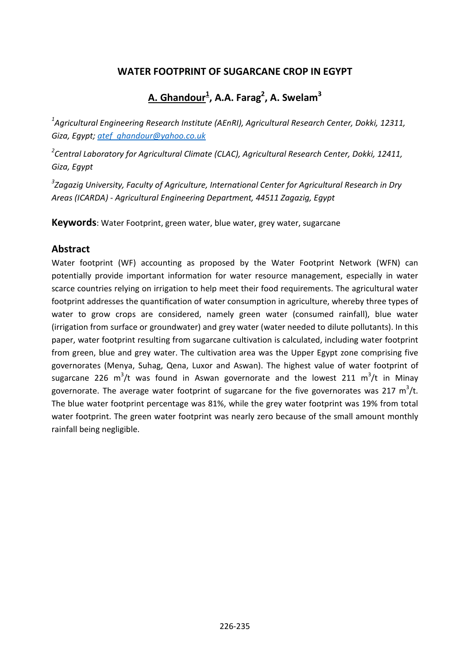### **WATER FOOTPRINT OF SUGARCANE CROP IN EGYPT**

# **A. Ghandour1 , A.A. Farag2 , A. Swelam3**

*1 Agricultural Engineering Research Institute (AEnRI), Agricultural Research Center, Dokki, 12311, Giza, Egypt; [atef\\_ghandour@yahoo.co.uk](mailto:Atef_ghandour@yahoo.co.uk)*

*2 Central Laboratory for Agricultural Climate (CLAC), Agricultural Research Center, Dokki, 12411, Giza, Egypt*

*3 Zagazig University, Faculty of Agriculture, International Center for Agricultural Research in Dry Areas (ICARDA) - Agricultural Engineering Department, 44511 Zagazig, Egypt*

**Keywords**: Water Footprint, green water, blue water, grey water, sugarcane

#### **Abstract**

Water footprint (WF) accounting as proposed by the Water Footprint Network (WFN) can potentially provide important information for water resource management, especially in water scarce countries relying on irrigation to help meet their food requirements. The agricultural water footprint addresses the quantification of water consumption in agriculture, whereby three types of water to grow crops are considered, namely green water (consumed rainfall), blue water (irrigation from surface or groundwater) and grey water (water needed to dilute pollutants). In this paper, water footprint resulting from sugarcane cultivation is calculated, including water footprint from green, blue and grey water. The cultivation area was the Upper Egypt zone comprising five governorates (Menya, Suhag, Qena, Luxor and Aswan). The highest value of water footprint of sugarcane 226 m<sup>3</sup>/t was found in Aswan governorate and the lowest 211 m<sup>3</sup>/t in Minay governorate. The average water footprint of sugarcane for the five governorates was 217  $\text{m}^{3}/\text{t}$ . The blue water footprint percentage was 81%, while the grey water footprint was 19% from total water footprint. The green water footprint was nearly zero because of the small amount monthly rainfall being negligible.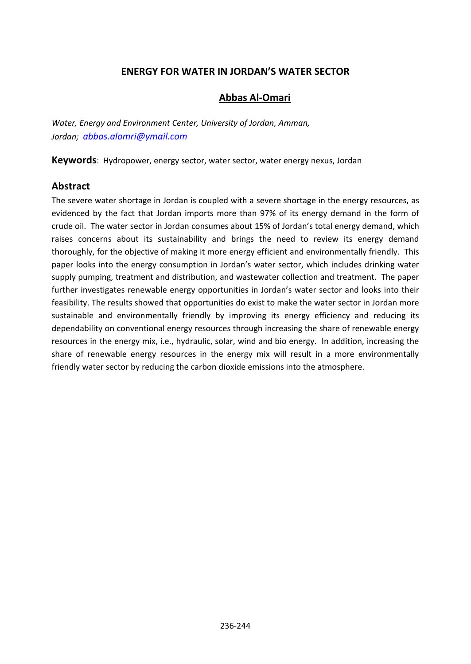### **ENERGY FOR WATER IN JORDAN'S WATER SECTOR**

#### **Abbas Al-Omari**

*Water, Energy and Environment Center, University of Jordan, Amman, Jordan; [abbas.alomri@ymail.com](mailto:abbas.alomri@ymail.com)*

**Keywords**: Hydropower, energy sector, water sector, water energy nexus, Jordan

#### **Abstract**

The severe water shortage in Jordan is coupled with a severe shortage in the energy resources, as evidenced by the fact that Jordan imports more than 97% of its energy demand in the form of crude oil. The water sector in Jordan consumes about 15% of Jordan's total energy demand, which raises concerns about its sustainability and brings the need to review its energy demand thoroughly, for the objective of making it more energy efficient and environmentally friendly. This paper looks into the energy consumption in Jordan's water sector, which includes drinking water supply pumping, treatment and distribution, and wastewater collection and treatment. The paper further investigates renewable energy opportunities in Jordan's water sector and looks into their feasibility. The results showed that opportunities do exist to make the water sector in Jordan more sustainable and environmentally friendly by improving its energy efficiency and reducing its dependability on conventional energy resources through increasing the share of renewable energy resources in the energy mix, i.e., hydraulic, solar, wind and bio energy. In addition, increasing the share of renewable energy resources in the energy mix will result in a more environmentally friendly water sector by reducing the carbon dioxide emissions into the atmosphere.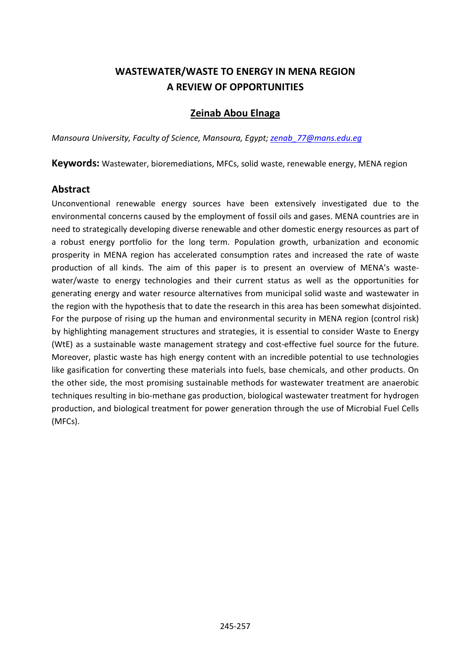# **WASTEWATER/WASTE TO ENERGY IN MENA REGION A REVIEW OF OPPORTUNITIES**

### **Zeinab Abou Elnaga**

*Mansoura University, Faculty of Science, Mansoura, Egypt[; zenab\\_77@mans.edu.eg](mailto:zenab_77@mans.edu.eg)*

**Keywords:** Wastewater, bioremediations, MFCs, solid waste, renewable energy, MENA region

#### **Abstract**

Unconventional renewable energy sources have been extensively investigated due to the environmental concerns caused by the employment of fossil oils and gases. MENA countries are in need to strategically developing diverse renewable and other domestic energy resources as part of a robust energy portfolio for the long term. Population growth, urbanization and economic prosperity in MENA region has accelerated consumption rates and increased the rate of waste production of all kinds. The aim of this paper is to present an overview of MENA's wastewater/waste to energy technologies and their current status as well as the opportunities for generating energy and water resource alternatives from municipal solid waste and wastewater in the region with the hypothesis that to date the research in this area has been somewhat disjointed. For the purpose of rising up the human and environmental security in MENA region (control risk) by highlighting management structures and strategies, it is essential to consider Waste to Energy (WtE) as a sustainable waste management strategy and cost-effective fuel source for the future. Moreover, plastic waste has high energy content with an incredible potential to use technologies like gasification for converting these materials into fuels, base chemicals, and other products. On the other side, the most promising sustainable methods for wastewater treatment are anaerobic techniques resulting in [bio-](https://www.sciencedirect.com/topics/earth-and-planetary-sciences/biogas)methane gas production, biological wastewater treatment for [hydrogen](https://www.sciencedirect.com/topics/earth-and-planetary-sciences/hydrogen-production)  [production,](https://www.sciencedirect.com/topics/earth-and-planetary-sciences/hydrogen-production) and biological treatment for power generation through the use of [Microbial Fuel Cells](https://www.sciencedirect.com/topics/earth-and-planetary-sciences/microbial-fuel-cell) (MFCs).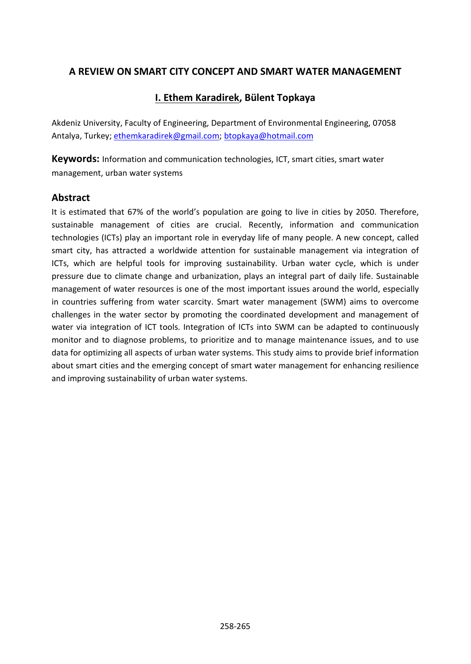### **A REVIEW ON SMART CITY CONCEPT AND SMART WATER MANAGEMENT**

### **I. Ethem Karadirek, Bülent Topkaya**

Akdeniz University, Faculty of Engineering, Department of Environmental Engineering, 07058 Antalya, Turkey; [ethemkaradirek@gmail.com;](mailto:ethemkaradirek@gmail.com) [btopkaya@hotmail.com](mailto:btopkaya@hotmail.com)

**Keywords:** Information and communication technologies, ICT, smart cities, smart water management, urban water systems

#### **Abstract**

It is estimated that 67% of the world's population are going to live in cities by 2050. Therefore, sustainable management of cities are crucial. Recently, information and communication technologies (ICTs) play an important role in everyday life of many people. A new concept, called smart city, has attracted a worldwide attention for sustainable management via integration of ICTs, which are helpful tools for improving sustainability. Urban water cycle, which is under pressure due to climate change and urbanization, plays an integral part of daily life. Sustainable management of water resources is one of the most important issues around the world, especially in countries suffering from water scarcity. Smart water management (SWM) aims to overcome challenges in the water sector by promoting the coordinated development and management of water via integration of ICT tools. Integration of ICTs into SWM can be adapted to continuously monitor and to diagnose problems, to prioritize and to manage maintenance issues, and to use data for optimizing all aspects of urban water systems. This study aims to provide brief information about smart cities and the emerging concept of smart water management for enhancing resilience and improving sustainability of urban water systems.